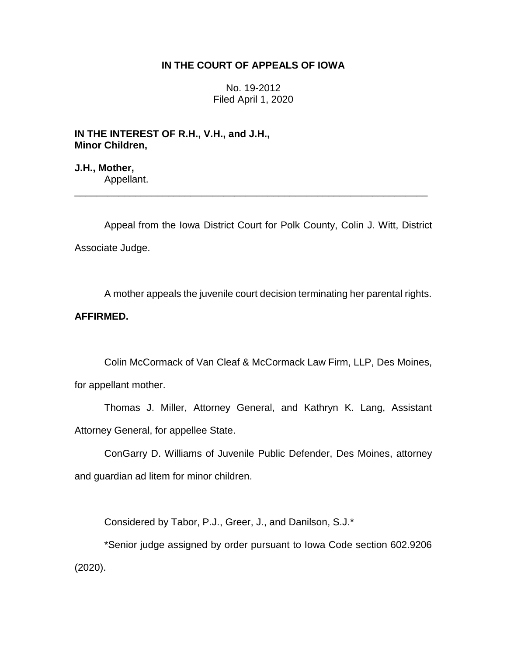# **IN THE COURT OF APPEALS OF IOWA**

No. 19-2012 Filed April 1, 2020

**IN THE INTEREST OF R.H., V.H., and J.H., Minor Children,**

**J.H., Mother,** Appellant.

Appeal from the Iowa District Court for Polk County, Colin J. Witt, District Associate Judge.

\_\_\_\_\_\_\_\_\_\_\_\_\_\_\_\_\_\_\_\_\_\_\_\_\_\_\_\_\_\_\_\_\_\_\_\_\_\_\_\_\_\_\_\_\_\_\_\_\_\_\_\_\_\_\_\_\_\_\_\_\_\_\_\_

A mother appeals the juvenile court decision terminating her parental rights.

# **AFFIRMED.**

Colin McCormack of Van Cleaf & McCormack Law Firm, LLP, Des Moines, for appellant mother.

Thomas J. Miller, Attorney General, and Kathryn K. Lang, Assistant Attorney General, for appellee State.

ConGarry D. Williams of Juvenile Public Defender, Des Moines, attorney and guardian ad litem for minor children.

Considered by Tabor, P.J., Greer, J., and Danilson, S.J.\*

\*Senior judge assigned by order pursuant to Iowa Code section 602.9206 (2020).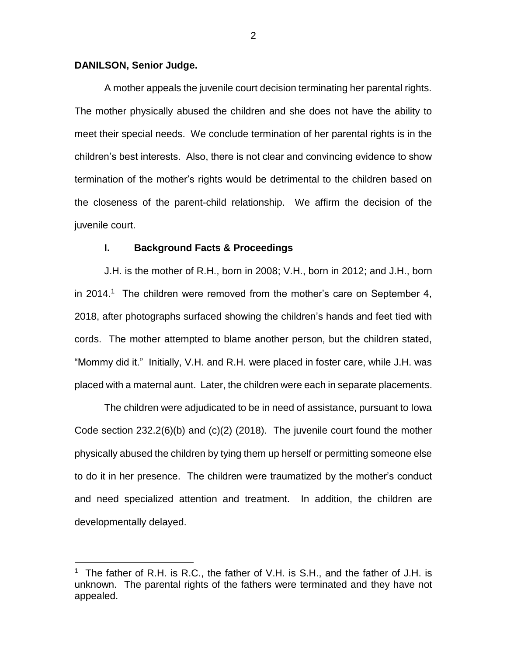## **DANILSON, Senior Judge.**

 $\overline{a}$ 

A mother appeals the juvenile court decision terminating her parental rights. The mother physically abused the children and she does not have the ability to meet their special needs. We conclude termination of her parental rights is in the children's best interests. Also, there is not clear and convincing evidence to show termination of the mother's rights would be detrimental to the children based on the closeness of the parent-child relationship. We affirm the decision of the juvenile court.

#### **I. Background Facts & Proceedings**

J.H. is the mother of R.H., born in 2008; V.H., born in 2012; and J.H., born in 2014.<sup>1</sup> The children were removed from the mother's care on September 4, 2018, after photographs surfaced showing the children's hands and feet tied with cords. The mother attempted to blame another person, but the children stated, "Mommy did it." Initially, V.H. and R.H. were placed in foster care, while J.H. was placed with a maternal aunt. Later, the children were each in separate placements.

The children were adjudicated to be in need of assistance, pursuant to Iowa Code section 232.2(6)(b) and (c)(2) (2018). The juvenile court found the mother physically abused the children by tying them up herself or permitting someone else to do it in her presence. The children were traumatized by the mother's conduct and need specialized attention and treatment. In addition, the children are developmentally delayed.

<sup>&</sup>lt;sup>1</sup> The father of R.H. is R.C., the father of V.H. is S.H., and the father of J.H. is unknown. The parental rights of the fathers were terminated and they have not appealed.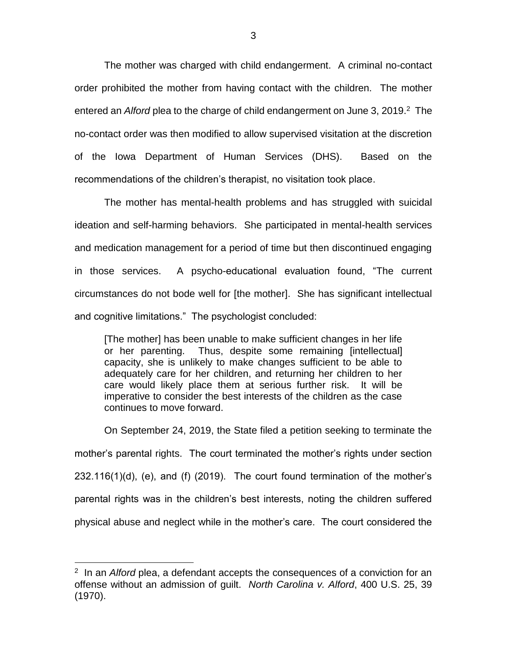The mother was charged with child endangerment. A criminal no-contact order prohibited the mother from having contact with the children. The mother entered an *Alford* plea to the charge of child endangerment on June 3, 2019.<sup>2</sup> The no-contact order was then modified to allow supervised visitation at the discretion of the Iowa Department of Human Services (DHS). Based on the recommendations of the children's therapist, no visitation took place.

The mother has mental-health problems and has struggled with suicidal ideation and self-harming behaviors. She participated in mental-health services and medication management for a period of time but then discontinued engaging in those services. A psycho-educational evaluation found, "The current circumstances do not bode well for [the mother]. She has significant intellectual and cognitive limitations." The psychologist concluded:

[The mother] has been unable to make sufficient changes in her life or her parenting. Thus, despite some remaining [intellectual] capacity, she is unlikely to make changes sufficient to be able to adequately care for her children, and returning her children to her care would likely place them at serious further risk. It will be imperative to consider the best interests of the children as the case continues to move forward.

On September 24, 2019, the State filed a petition seeking to terminate the mother's parental rights. The court terminated the mother's rights under section 232.116(1)(d), (e), and (f) (2019). The court found termination of the mother's parental rights was in the children's best interests, noting the children suffered physical abuse and neglect while in the mother's care. The court considered the

 $\overline{a}$ 

<sup>2</sup> In an *Alford* plea, a defendant accepts the consequences of a conviction for an offense without an admission of guilt. *North Carolina v. Alford*, 400 U.S. 25, 39 (1970).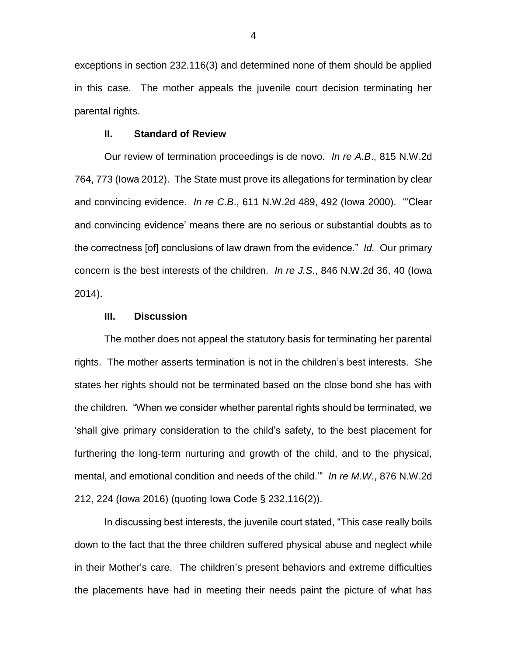exceptions in section 232.116(3) and determined none of them should be applied in this case. The mother appeals the juvenile court decision terminating her parental rights.

#### **II. Standard of Review**

Our review of termination proceedings is de novo. *In re A.B*., 815 N.W.2d 764, 773 (Iowa 2012). The State must prove its allegations for termination by clear and convincing evidence. *In re C.B*., 611 N.W.2d 489, 492 (Iowa 2000). "'Clear and convincing evidence' means there are no serious or substantial doubts as to the correctness [of] conclusions of law drawn from the evidence." *Id.* Our primary concern is the best interests of the children. *In re J.S*., 846 N.W.2d 36, 40 (Iowa 2014).

# **III. Discussion**

The mother does not appeal the statutory basis for terminating her parental rights. The mother asserts termination is not in the children's best interests. She states her rights should not be terminated based on the close bond she has with the children. "When we consider whether parental rights should be terminated, we 'shall give primary consideration to the child's safety, to the best placement for furthering the long-term nurturing and growth of the child, and to the physical, mental, and emotional condition and needs of the child.'" *In re M.W*., 876 N.W.2d 212, 224 (Iowa 2016) (quoting Iowa Code § 232.116(2)).

In discussing best interests, the juvenile court stated, "This case really boils down to the fact that the three children suffered physical abuse and neglect while in their Mother's care. The children's present behaviors and extreme difficulties the placements have had in meeting their needs paint the picture of what has